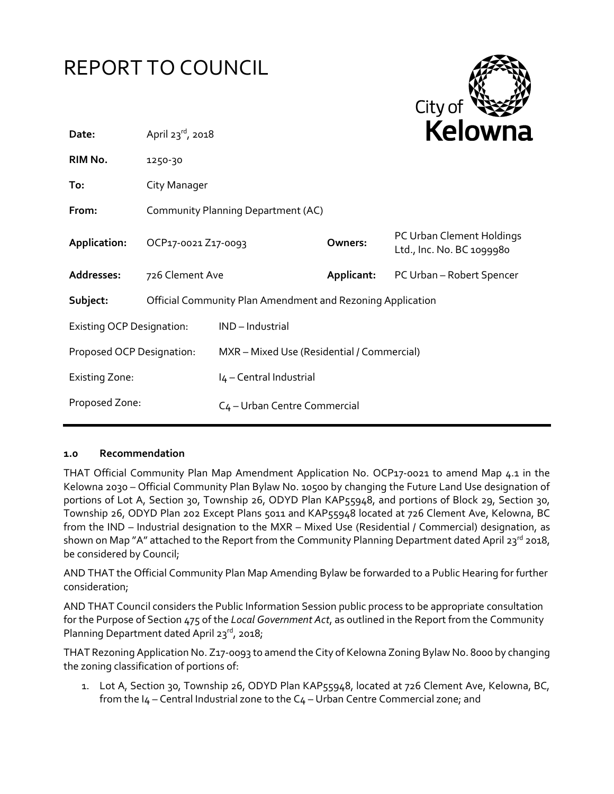# REPORT TO COUNCIL



| Date:                            | April $23^{rd}$ , 2018                                     |                                            |            | <b>Nelowii</b> a                                       |  |  |
|----------------------------------|------------------------------------------------------------|--------------------------------------------|------------|--------------------------------------------------------|--|--|
| RIM No.                          | 1250-30                                                    |                                            |            |                                                        |  |  |
| To:                              | City Manager                                               |                                            |            |                                                        |  |  |
| From:                            | Community Planning Department (AC)                         |                                            |            |                                                        |  |  |
| Application:                     | OCP17-0021 Z17-0093                                        |                                            | Owners:    | PC Urban Clement Holdings<br>Ltd., Inc. No. BC 1099980 |  |  |
| Addresses:                       | 726 Clement Ave                                            |                                            | Applicant: | PC Urban - Robert Spencer                              |  |  |
| Subject:                         | Official Community Plan Amendment and Rezoning Application |                                            |            |                                                        |  |  |
| <b>Existing OCP Designation:</b> |                                                            | IND-Industrial                             |            |                                                        |  |  |
| Proposed OCP Designation:        |                                                            | MXR - Mixed Use (Residential / Commercial) |            |                                                        |  |  |
| <b>Existing Zone:</b>            |                                                            | I4 - Central Industrial                    |            |                                                        |  |  |
| Proposed Zone:                   |                                                            | C <sub>4</sub> - Urban Centre Commercial   |            |                                                        |  |  |

#### **1.0 Recommendation**

THAT Official Community Plan Map Amendment Application No. OCP17-0021 to amend Map 4.1 in the Kelowna 2030 – Official Community Plan Bylaw No. 10500 by changing the Future Land Use designation of portions of Lot A, Section 30, Township 26, ODYD Plan KAP55948, and portions of Block 29, Section 30, Township 26, ODYD Plan 202 Except Plans 5011 and KAP55948 located at 726 Clement Ave, Kelowna, BC from the IND – Industrial designation to the MXR – Mixed Use (Residential / Commercial) designation, as shown on Map "A" attached to the Report from the Community Planning Department dated April 23rd 2018, be considered by Council;

AND THAT the Official Community Plan Map Amending Bylaw be forwarded to a Public Hearing for further consideration;

AND THAT Council considers the Public Information Session public process to be appropriate consultation for the Purpose of Section 475 of the *Local Government Act*, as outlined in the Report from the Community Planning Department dated April 23<sup>rd</sup>, 2018;

THAT Rezoning Application No. Z17-0093 to amend the City of Kelowna Zoning Bylaw No. 8000 by changing the zoning classification of portions of:

1. Lot A, Section 30, Township 26, ODYD Plan KAP55948, located at 726 Clement Ave, Kelowna, BC, from the  $I_4$  – Central Industrial zone to the  $C_4$  – Urban Centre Commercial zone; and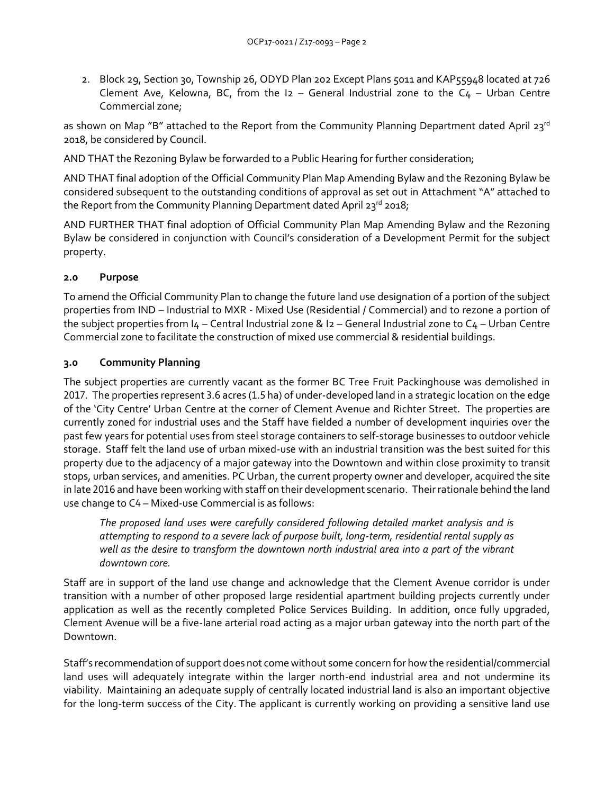2. Block 29, Section 30, Township 26, ODYD Plan 202 Except Plans 5011 and KAP55948 located at 726 Clement Ave, Kelowna, BC, from the  $12$  – General Industrial zone to the  $C_4$  – Urban Centre Commercial zone;

as shown on Map "B" attached to the Report from the Community Planning Department dated April 23<sup>rd</sup> 2018, be considered by Council.

AND THAT the Rezoning Bylaw be forwarded to a Public Hearing for further consideration;

AND THAT final adoption of the Official Community Plan Map Amending Bylaw and the Rezoning Bylaw be considered subsequent to the outstanding conditions of approval as set out in Attachment "A" attached to the Report from the Community Planning Department dated April 23 $^{\mathsf{rd}}$  2018;

AND FURTHER THAT final adoption of Official Community Plan Map Amending Bylaw and the Rezoning Bylaw be considered in conjunction with Council's consideration of a Development Permit for the subject property.

# **2.0 Purpose**

To amend the Official Community Plan to change the future land use designation of a portion of the subject properties from IND – Industrial to MXR - Mixed Use (Residential / Commercial) and to rezone a portion of the subject properties from I4 – Central Industrial zone & I2 – General Industrial zone to C4 – Urban Centre Commercial zone to facilitate the construction of mixed use commercial & residential buildings.

# **3.0 Community Planning**

The subject properties are currently vacant as the former BC Tree Fruit Packinghouse was demolished in 2017. The properties represent 3.6 acres (1.5 ha) of under-developed land in a strategic location on the edge of the 'City Centre' Urban Centre at the corner of Clement Avenue and Richter Street. The properties are currently zoned for industrial uses and the Staff have fielded a number of development inquiries over the past few years for potential uses from steel storage containers to self-storage businesses to outdoor vehicle storage. Staff felt the land use of urban mixed-use with an industrial transition was the best suited for this property due to the adjacency of a major gateway into the Downtown and within close proximity to transit stops, urban services, and amenities. PC Urban, the current property owner and developer, acquired the site in late 2016 and have been working with staff on their development scenario. Their rationale behind the land use change to C4 – Mixed-use Commercial is as follows:

*The proposed land uses were carefully considered following detailed market analysis and is attempting to respond to a severe lack of purpose built, long-term, residential rental supply as well as the desire to transform the downtown north industrial area into a part of the vibrant downtown core.*

Staff are in support of the land use change and acknowledge that the Clement Avenue corridor is under transition with a number of other proposed large residential apartment building projects currently under application as well as the recently completed Police Services Building. In addition, once fully upgraded, Clement Avenue will be a five-lane arterial road acting as a major urban gateway into the north part of the Downtown.

Staff's recommendation of support does not come without some concern for how the residential/commercial land uses will adequately integrate within the larger north-end industrial area and not undermine its viability. Maintaining an adequate supply of centrally located industrial land is also an important objective for the long-term success of the City. The applicant is currently working on providing a sensitive land use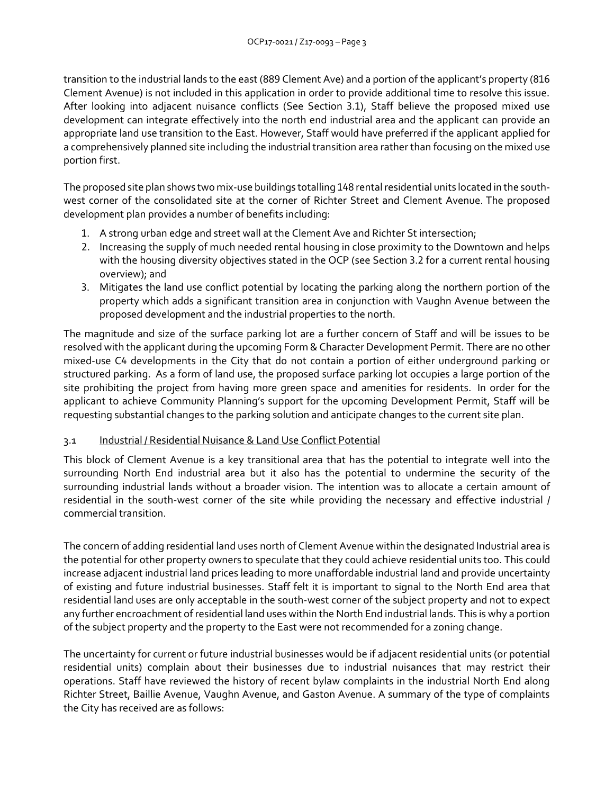transition to the industrial lands to the east (889 Clement Ave) and a portion of the applicant's property (816 Clement Avenue) is not included in this application in order to provide additional time to resolve this issue. After looking into adjacent nuisance conflicts (See Section 3.1), Staff believe the proposed mixed use development can integrate effectively into the north end industrial area and the applicant can provide an appropriate land use transition to the East. However, Staff would have preferred if the applicant applied for a comprehensively planned site including the industrial transition area rather than focusing on the mixed use portion first.

The proposed site plan shows two mix-use buildings totalling 148 rental residential units located in the southwest corner of the consolidated site at the corner of Richter Street and Clement Avenue. The proposed development plan provides a number of benefits including:

- 1. A strong urban edge and street wall at the Clement Ave and Richter St intersection;
- 2. Increasing the supply of much needed rental housing in close proximity to the Downtown and helps with the housing diversity objectives stated in the OCP (see Section 3.2 for a current rental housing overview); and
- 3. Mitigates the land use conflict potential by locating the parking along the northern portion of the property which adds a significant transition area in conjunction with Vaughn Avenue between the proposed development and the industrial properties to the north.

The magnitude and size of the surface parking lot are a further concern of Staff and will be issues to be resolved with the applicant during the upcoming Form & Character Development Permit. There are no other mixed-use C4 developments in the City that do not contain a portion of either underground parking or structured parking. As a form of land use, the proposed surface parking lot occupies a large portion of the site prohibiting the project from having more green space and amenities for residents. In order for the applicant to achieve Community Planning's support for the upcoming Development Permit, Staff will be requesting substantial changes to the parking solution and anticipate changes to the current site plan.

## 3.1 Industrial / Residential Nuisance & Land Use Conflict Potential

This block of Clement Avenue is a key transitional area that has the potential to integrate well into the surrounding North End industrial area but it also has the potential to undermine the security of the surrounding industrial lands without a broader vision. The intention was to allocate a certain amount of residential in the south-west corner of the site while providing the necessary and effective industrial / commercial transition.

The concern of adding residential land uses north of Clement Avenue within the designated Industrial area is the potential for other property owners to speculate that they could achieve residential units too. This could increase adjacent industrial land prices leading to more unaffordable industrial land and provide uncertainty of existing and future industrial businesses. Staff felt it is important to signal to the North End area that residential land uses are only acceptable in the south-west corner of the subject property and not to expect any further encroachment of residential land uses within the North End industrial lands. This is why a portion of the subject property and the property to the East were not recommended for a zoning change.

The uncertainty for current or future industrial businesses would be if adjacent residential units (or potential residential units) complain about their businesses due to industrial nuisances that may restrict their operations. Staff have reviewed the history of recent bylaw complaints in the industrial North End along Richter Street, Baillie Avenue, Vaughn Avenue, and Gaston Avenue. A summary of the type of complaints the City has received are as follows: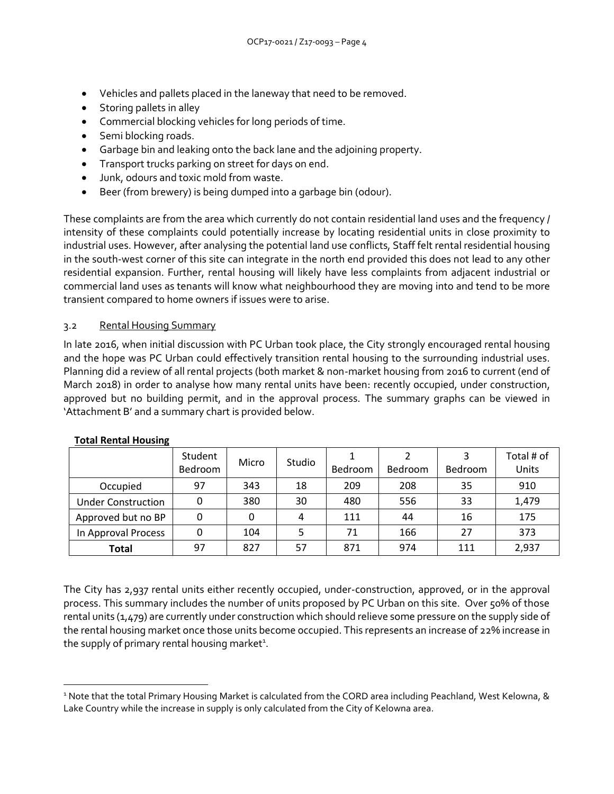- Vehicles and pallets placed in the laneway that need to be removed.
- Storing pallets in alley
- Commercial blocking vehicles for long periods of time.
- Semi blocking roads.
- Garbage bin and leaking onto the back lane and the adjoining property.
- Transport trucks parking on street for days on end.
- Junk, odours and toxic mold from waste.
- Beer (from brewery) is being dumped into a garbage bin (odour).

These complaints are from the area which currently do not contain residential land uses and the frequency / intensity of these complaints could potentially increase by locating residential units in close proximity to industrial uses. However, after analysing the potential land use conflicts, Staff felt rental residential housing in the south-west corner of this site can integrate in the north end provided this does not lead to any other residential expansion. Further, rental housing will likely have less complaints from adjacent industrial or commercial land uses as tenants will know what neighbourhood they are moving into and tend to be more transient compared to home owners if issues were to arise.

#### 3.2 Rental Housing Summary

In late 2016, when initial discussion with PC Urban took place, the City strongly encouraged rental housing and the hope was PC Urban could effectively transition rental housing to the surrounding industrial uses. Planning did a review of all rental projects (both market & non-market housing from 2016 to current (end of March 2018) in order to analyse how many rental units have been: recently occupied, under construction, approved but no building permit, and in the approval process. The summary graphs can be viewed in 'Attachment B' and a summary chart is provided below.

|                           | Student | Micro | Studio |                |         | 3       | Total # of |
|---------------------------|---------|-------|--------|----------------|---------|---------|------------|
|                           | Bedroom |       |        | <b>Bedroom</b> | Bedroom | Bedroom | Units      |
| Occupied                  | 97      | 343   | 18     | 209            | 208     | 35      | 910        |
| <b>Under Construction</b> | 0       | 380   | 30     | 480            | 556     | 33      | 1,479      |
| Approved but no BP        | 0       | 0     | 4      | 111            | 44      | 16      | 175        |
| In Approval Process       | 0       | 104   |        | 71             | 166     | 27      | 373        |
| <b>Total</b>              | 97      | 827   | 57     | 871            | 974     | 111     | 2,937      |

## **Total Rental Housing**

-

The City has 2,937 rental units either recently occupied, under-construction, approved, or in the approval process. This summary includes the number of units proposed by PC Urban on this site. Over 50% of those rental units (1,479) are currently under construction which should relieve some pressure on the supply side of the rental housing market once those units become occupied. This represents an increase of 22% increase in the supply of primary rental housing market<sup>1</sup>.

<sup>1</sup> Note that the total Primary Housing Market is calculated from the CORD area including Peachland, West Kelowna, & Lake Country while the increase in supply is only calculated from the City of Kelowna area.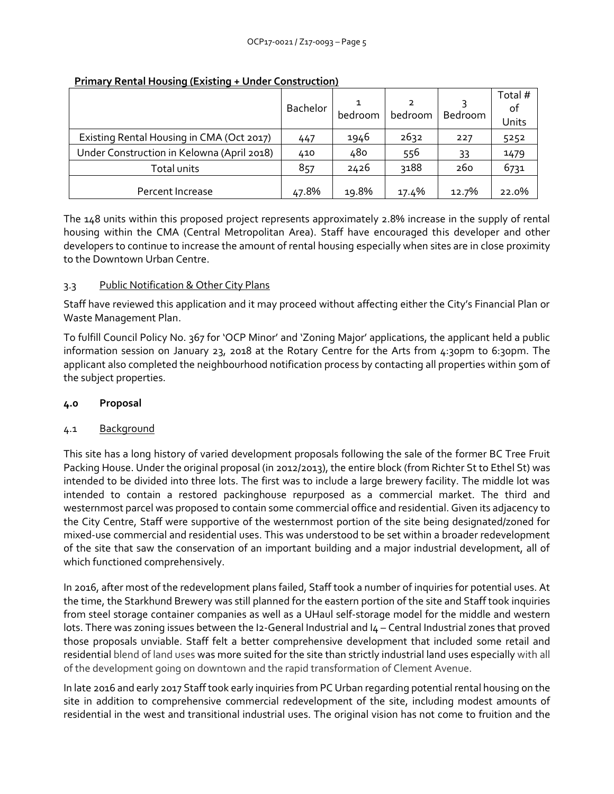|                                            | Bachelor | bedroom | bedroom | Bedroom | Total #<br>οf<br>Units |
|--------------------------------------------|----------|---------|---------|---------|------------------------|
| Existing Rental Housing in CMA (Oct 2017)  | 447      | 1946    | 2632    | 227     | 5252                   |
| Under Construction in Kelowna (April 2018) | 410      | 480     | 556     | 33      | 1479                   |
| Total units                                | 857      | 2426    | 3188    | 260     | 6731                   |
| Percent Increase                           | 47.8%    | 19.8%   | 17.4%   | 12.7%   | 22.0%                  |

#### **Primary Rental Housing (Existing + Under Construction)**

The 148 units within this proposed project represents approximately 2.8% increase in the supply of rental housing within the CMA (Central Metropolitan Area). Staff have encouraged this developer and other developers to continue to increase the amount of rental housing especially when sites are in close proximity to the Downtown Urban Centre.

# 3.3 Public Notification & Other City Plans

Staff have reviewed this application and it may proceed without affecting either the City's Financial Plan or Waste Management Plan.

To fulfill Council Policy No. 367 for 'OCP Minor' and 'Zoning Major' applications, the applicant held a public information session on January 23, 2018 at the Rotary Centre for the Arts from 4:30pm to 6:30pm. The applicant also completed the neighbourhood notification process by contacting all properties within 50m of the subject properties.

## **4.0 Proposal**

## 4.1 Background

This site has a long history of varied development proposals following the sale of the former BC Tree Fruit Packing House. Under the original proposal (in 2012/2013), the entire block (from Richter St to Ethel St) was intended to be divided into three lots. The first was to include a large brewery facility. The middle lot was intended to contain a restored packinghouse repurposed as a commercial market. The third and westernmost parcel was proposed to contain some commercial office and residential. Given its adjacency to the City Centre, Staff were supportive of the westernmost portion of the site being designated/zoned for mixed-use commercial and residential uses. This was understood to be set within a broader redevelopment of the site that saw the conservation of an important building and a major industrial development, all of which functioned comprehensively.

In 2016, after most of the redevelopment plans failed, Staff took a number of inquiries for potential uses. At the time, the Starkhund Brewery was still planned for the eastern portion of the site and Staff took inquiries from steel storage container companies as well as a UHaul self-storage model for the middle and western lots. There was zoning issues between the I2-General Industrial and I4 – Central Industrial zones that proved those proposals unviable. Staff felt a better comprehensive development that included some retail and residential blend of land uses was more suited for the site than strictly industrial land uses especially with all of the development going on downtown and the rapid transformation of Clement Avenue.

In late 2016 and early 2017 Staff took early inquiries from PC Urban regarding potential rental housing on the site in addition to comprehensive commercial redevelopment of the site, including modest amounts of residential in the west and transitional industrial uses. The original vision has not come to fruition and the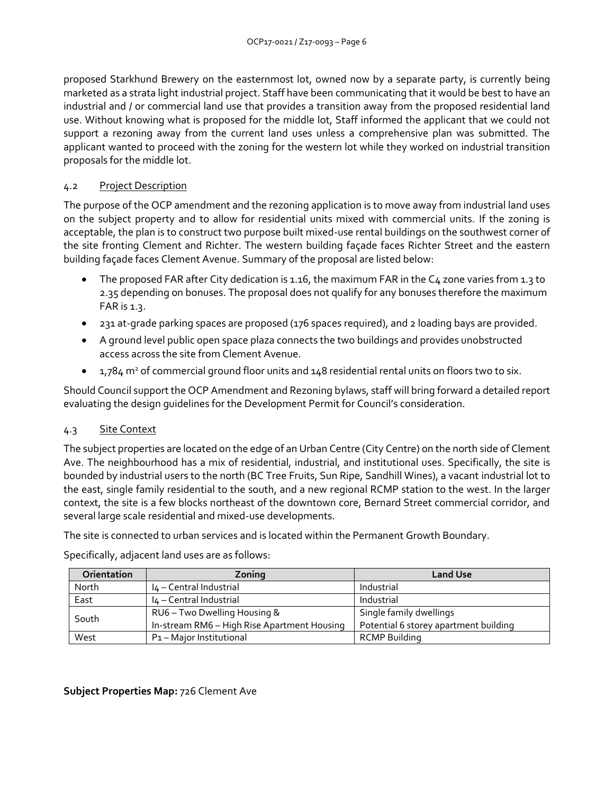proposed Starkhund Brewery on the easternmost lot, owned now by a separate party, is currently being marketed as a strata light industrial project. Staff have been communicating that it would be best to have an industrial and / or commercial land use that provides a transition away from the proposed residential land use. Without knowing what is proposed for the middle lot, Staff informed the applicant that we could not support a rezoning away from the current land uses unless a comprehensive plan was submitted. The applicant wanted to proceed with the zoning for the western lot while they worked on industrial transition proposals for the middle lot.

## 4.2 Project Description

The purpose of the OCP amendment and the rezoning application is to move away from industrial land uses on the subject property and to allow for residential units mixed with commercial units. If the zoning is acceptable, the plan is to construct two purpose built mixed-use rental buildings on the southwest corner of the site fronting Clement and Richter. The western building façade faces Richter Street and the eastern building façade faces Clement Avenue. Summary of the proposal are listed below:

- The proposed FAR after City dedication is 1.16, the maximum FAR in the C4 zone varies from 1.3 to 2.35 depending on bonuses. The proposal does not qualify for any bonuses therefore the maximum FAR is  $1.3$ .
- 231 at-grade parking spaces are proposed (176 spaces required), and 2 loading bays are provided.
- A ground level public open space plaza connects the two buildings and provides unobstructed access across the site from Clement Avenue.
- $\bullet$  1,784 m<sup>2</sup> of commercial ground floor units and 148 residential rental units on floors two to six.

Should Council support the OCP Amendment and Rezoning bylaws, staff will bring forward a detailed report evaluating the design guidelines for the Development Permit for Council's consideration.

## 4.3 Site Context

The subject properties are located on the edge of an Urban Centre (City Centre) on the north side of Clement Ave. The neighbourhood has a mix of residential, industrial, and institutional uses. Specifically, the site is bounded by industrial users to the north (BC Tree Fruits, Sun Ripe, Sandhill Wines), a vacant industrial lot to the east, single family residential to the south, and a new regional RCMP station to the west. In the larger context, the site is a few blocks northeast of the downtown core, Bernard Street commercial corridor, and several large scale residential and mixed-use developments.

The site is connected to urban services and is located within the Permanent Growth Boundary.

Specifically, adjacent land uses are as follows:

| Orientation | Zoning                                      | <b>Land Use</b>                       |  |
|-------------|---------------------------------------------|---------------------------------------|--|
| North       | I4 - Central Industrial                     | Industrial                            |  |
| East        | I4 - Central Industrial                     | Industrial                            |  |
| South       | RU6 - Two Dwelling Housing &                | Single family dwellings               |  |
|             | In-stream RM6 - High Rise Apartment Housing | Potential 6 storey apartment building |  |
| West        | P <sub>1</sub> – Major Institutional        | <b>RCMP Building</b>                  |  |

## **Subject Properties Map:** 726 Clement Ave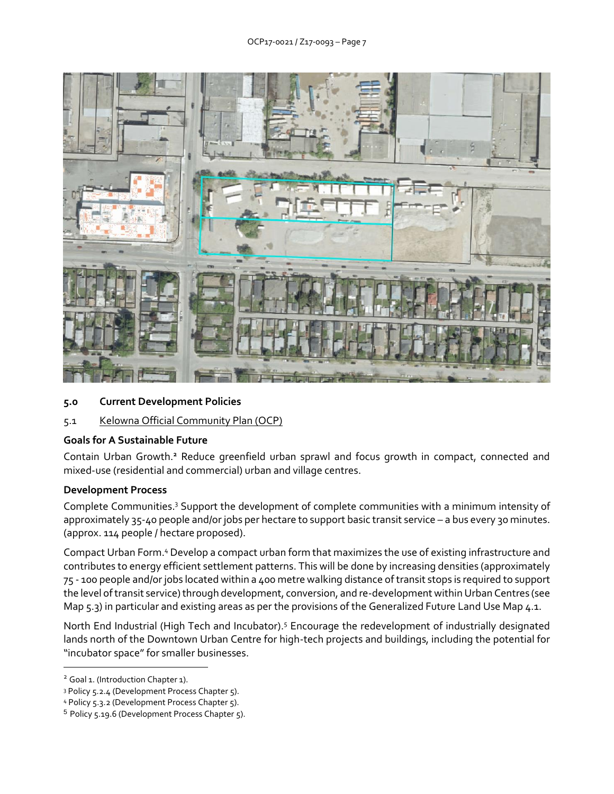

- **5.0 Current Development Policies**
- 5.1 Kelowna Official Community Plan (OCP)

## **Goals for A Sustainable Future**

Contain Urban Growth.**<sup>2</sup>** Reduce greenfield urban sprawl and focus growth in compact, connected and mixed-use (residential and commercial) urban and village centres.

#### **Development Process**

Complete Communities.<sup>3</sup> Support the development of complete communities with a minimum intensity of approximately 35-40 people and/or jobs per hectare to support basic transit service – a bus every 30 minutes. (approx. 114 people / hectare proposed).

Compact Urban Form.<sup>4</sup> Develop a compact urban form that maximizes the use of existing infrastructure and contributes to energy efficient settlement patterns. This will be done by increasing densities (approximately 75 - 100 people and/or jobs located within a 400 metre walking distance of transit stops is required to support the level of transit service) through development, conversion, and re-development within Urban Centres (see Map 5.3) in particular and existing areas as per the provisions of the Generalized Future Land Use Map 4.1.

North End Industrial (High Tech and Incubator).<sup>5</sup> Encourage the redevelopment of industrially designated lands north of the Downtown Urban Centre for high-tech projects and buildings, including the potential for "incubator space" for smaller businesses.

-

<sup>&</sup>lt;sup>2</sup> Goal 1. (Introduction Chapter 1).

<sup>3</sup> Policy 5.2.4 (Development Process Chapter 5).

<sup>4</sup> Policy 5.3.2 (Development Process Chapter 5).

<sup>5</sup> Policy 5.19.6 (Development Process Chapter 5).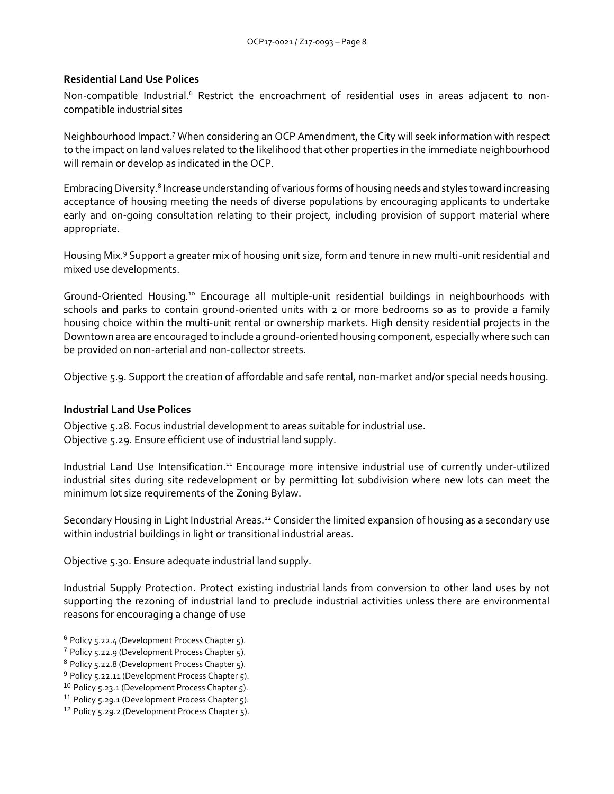#### **Residential Land Use Polices**

Non-compatible Industrial.<sup>6</sup> Restrict the encroachment of residential uses in areas adjacent to noncompatible industrial sites

Neighbourhood Impact.<sup>7</sup> When considering an OCP Amendment, the City will seek information with respect to the impact on land values related to the likelihood that other properties in the immediate neighbourhood will remain or develop as indicated in the OCP.

Embracing Diversity.<sup>8</sup> Increase understanding of various forms of housing needs and styles toward increasing acceptance of housing meeting the needs of diverse populations by encouraging applicants to undertake early and on-going consultation relating to their project, including provision of support material where appropriate.

Housing Mix.<sup>9</sup> Support a greater mix of housing unit size, form and tenure in new multi-unit residential and mixed use developments.

Ground-Oriented Housing.<sup>10</sup> Encourage all multiple-unit residential buildings in neighbourhoods with schools and parks to contain ground-oriented units with 2 or more bedrooms so as to provide a family housing choice within the multi-unit rental or ownership markets. High density residential projects in the Downtown area are encouraged to include a ground-oriented housing component, especially where such can be provided on non-arterial and non-collector streets.

Objective 5.9. Support the creation of affordable and safe rental, non-market and/or special needs housing.

#### **Industrial Land Use Polices**

Objective 5.28. Focus industrial development to areas suitable for industrial use. Objective 5.29. Ensure efficient use of industrial land supply.

Industrial Land Use Intensification.<sup>11</sup> Encourage more intensive industrial use of currently under-utilized industrial sites during site redevelopment or by permitting lot subdivision where new lots can meet the minimum lot size requirements of the Zoning Bylaw.

Secondary Housing in Light Industrial Areas.<sup>12</sup> Consider the limited expansion of housing as a secondary use within industrial buildings in light or transitional industrial areas.

Objective 5.30. Ensure adequate industrial land supply.

Industrial Supply Protection. Protect existing industrial lands from conversion to other land uses by not supporting the rezoning of industrial land to preclude industrial activities unless there are environmental reasons for encouraging a change of use

-

<sup>6</sup> Policy 5.22.4 (Development Process Chapter 5).

<sup>7</sup> Policy 5.22.9 (Development Process Chapter 5).

<sup>8</sup> Policy 5.22.8 (Development Process Chapter 5).

<sup>&</sup>lt;sup>9</sup> Policy 5.22.11 (Development Process Chapter 5).

<sup>10</sup> Policy 5.23.1 (Development Process Chapter 5).

<sup>11</sup> Policy 5.29.1 (Development Process Chapter 5).

<sup>12</sup> Policy 5.29.2 (Development Process Chapter 5).